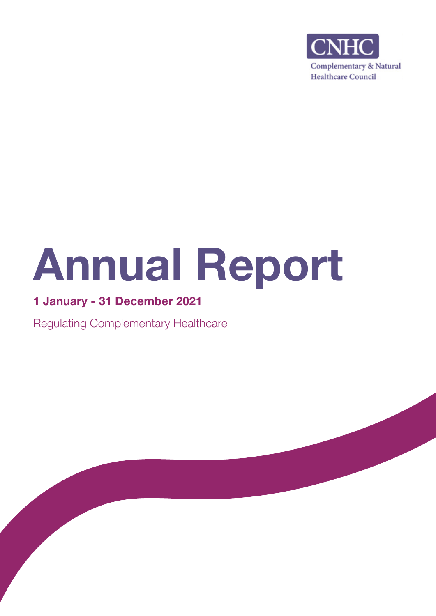

# Annual Report

# 1 January - 31 December 2021

Regulating Complementary Healthcare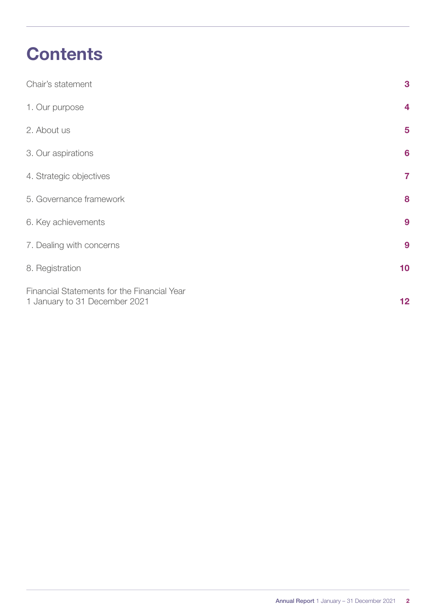# **Contents**

| Chair's statement                                                            | 3                       |
|------------------------------------------------------------------------------|-------------------------|
| 1. Our purpose                                                               | 4                       |
| 2. About us                                                                  | 5                       |
| 3. Our aspirations                                                           | $6\phantom{a}$          |
| 4. Strategic objectives                                                      | $\overline{\mathbf{7}}$ |
| 5. Governance framework                                                      | 8                       |
| 6. Key achievements                                                          | 9                       |
| 7. Dealing with concerns                                                     | 9                       |
| 8. Registration                                                              | 10                      |
| Financial Statements for the Financial Year<br>1 January to 31 December 2021 | 12 <sub>2</sub>         |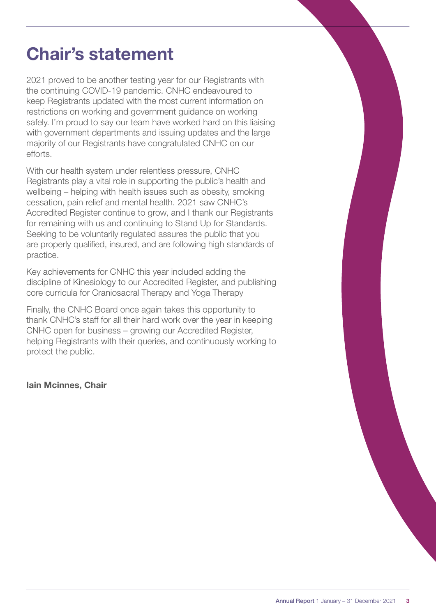# <span id="page-2-0"></span>Chair's statement

2021 proved to be another testing year for our Registrants with the continuing COVID-19 pandemic. CNHC endeavoured to keep Registrants updated with the most current information on restrictions on working and government guidance on working safely. I'm proud to say our team have worked hard on this liaising with government departments and issuing updates and the large majority of our Registrants have congratulated CNHC on our efforts.

With our health system under relentless pressure, CNHC Registrants play a vital role in supporting the public's health and wellbeing – helping with health issues such as obesity, smoking cessation, pain relief and mental health. 2021 saw CNHC's Accredited Register continue to grow, and I thank our Registrants for remaining with us and continuing to Stand Up for Standards. Seeking to be voluntarily regulated assures the public that you are properly qualified, insured, and are following high standards of practice.

Key achievements for CNHC this year included adding the discipline of Kinesiology to our Accredited Register, and publishing core curricula for Craniosacral Therapy and Yoga Therapy

Finally, the CNHC Board once again takes this opportunity to thank CNHC's staff for all their hard work over the year in keeping CNHC open for business – growing our Accredited Register, helping Registrants with their queries, and continuously working to protect the public.

Iain Mcinnes, Chair

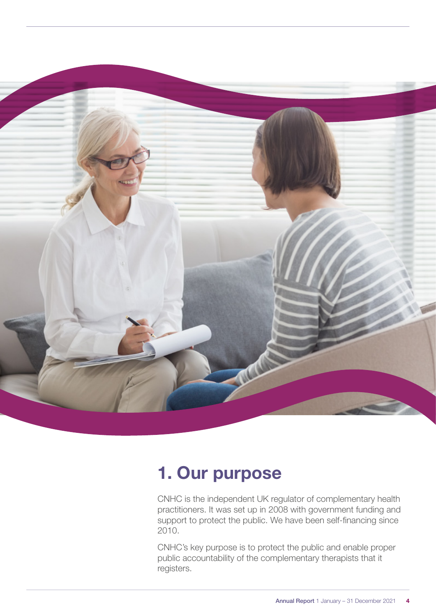<span id="page-3-0"></span>

# 1. Our purpose

CNHC is the independent UK regulator of complementary health practitioners. It was set up in 2008 with government funding and support to protect the public. We have been self-financing since 2010.

CNHC's key purpose is to protect the public and enable proper public accountability of the complementary therapists that it registers.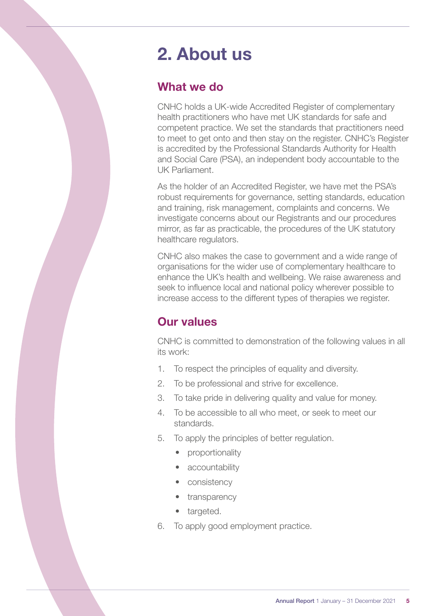# <span id="page-4-0"></span>2. About us

## What we do

CNHC holds a UK-wide Accredited Register of complementary health practitioners who have met UK standards for safe and competent practice. We set the standards that practitioners need to meet to get onto and then stay on the register. CNHC's Register is accredited by the Professional Standards Authority for Health and Social Care (PSA), an independent body accountable to the UK Parliament.

As the holder of an Accredited Register, we have met the PSA's robust requirements for governance, setting standards, education and training, risk management, complaints and concerns. We investigate concerns about our Registrants and our procedures mirror, as far as practicable, the procedures of the UK statutory healthcare regulators.

CNHC also makes the case to government and a wide range of organisations for the wider use of complementary healthcare to enhance the UK's health and wellbeing. We raise awareness and seek to influence local and national policy wherever possible to increase access to the different types of therapies we register.

# Our values

CNHC is committed to demonstration of the following values in all its work:

- 1. To respect the principles of equality and diversity.
- 2. To be professional and strive for excellence.
- 3. To take pride in delivering quality and value for money.
- 4. To be accessible to all who meet, or seek to meet our standards.
- 5. To apply the principles of better regulation.
	- proportionality
	- accountability
	- consistency
	- transparency
	- targeted.
- 6. To apply good employment practice.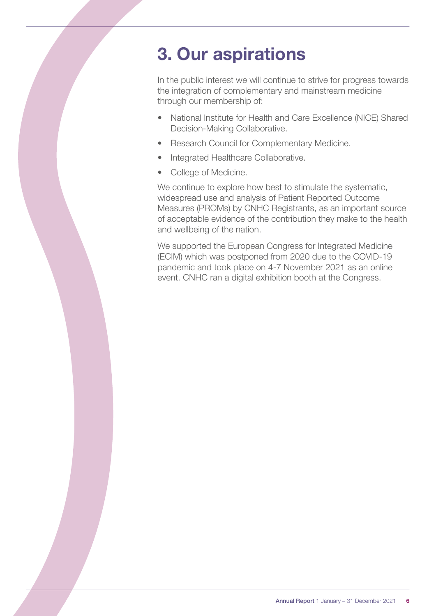# <span id="page-5-0"></span>3. Our aspirations

In the public interest we will continue to strive for progress towards the integration of complementary and mainstream medicine through our membership of:

- National Institute for Health and Care Excellence (NICE) Shared Decision-Making Collaborative.
- Research Council for Complementary Medicine.
- Integrated Healthcare Collaborative.
- College of Medicine.

We continue to explore how best to stimulate the systematic, widespread use and analysis of Patient Reported Outcome Measures (PROMs) by CNHC Registrants, as an important source of acceptable evidence of the contribution they make to the health and wellbeing of the nation.

We supported the European Congress for Integrated Medicine (ECIM) which was postponed from 2020 due to the COVID-19 pandemic and took place on 4-7 November 2021 as an online event. CNHC ran a digital exhibition booth at the Congress.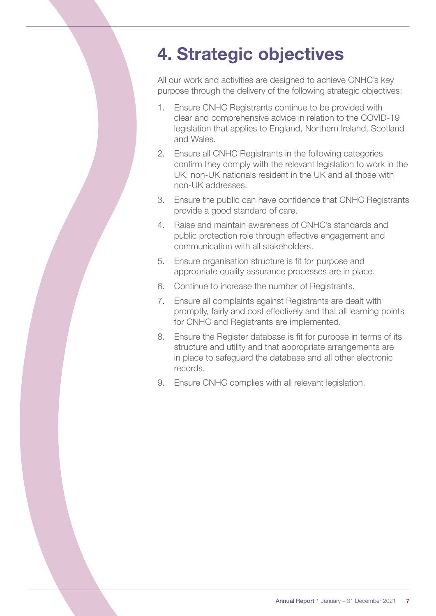# <span id="page-6-0"></span>4. Strategic objectives

All our work and activities are designed to achieve CNHC's key purpose through the delivery of the following strategic objectives:

- 1. Ensure CNHC Registrants continue to be provided with clear and comprehensive advice in relation to the COVID-19 legislation that applies to England, Northern Ireland, Scotland and Wales.
- 2. Ensure all CNHC Registrants in the following categories confirm they comply with the relevant legislation to work in the UK: non-UK nationals resident in the UK and all those with non-UK addresses.
- 3. Ensure the public can have confidence that CNHC Registrants provide a good standard of care.
- 4. Raise and maintain awareness of CNHC's standards and public protection role through effective engagement and communication with all stakeholders.
- 5. Ensure organisation structure is fit for purpose and appropriate quality assurance processes are in place.
- 6. Continue to increase the number of Registrants.
- 7. Ensure all complaints against Registrants are dealt with promptly, fairly and cost effectively and that all learning points for CNHC and Registrants are implemented.
- 8. Ensure the Register database is fit for purpose in terms of its structure and utility and that appropriate arrangements are in place to safeguard the database and all other electronic records.
- 9. Ensure CNHC complies with all relevant legislation.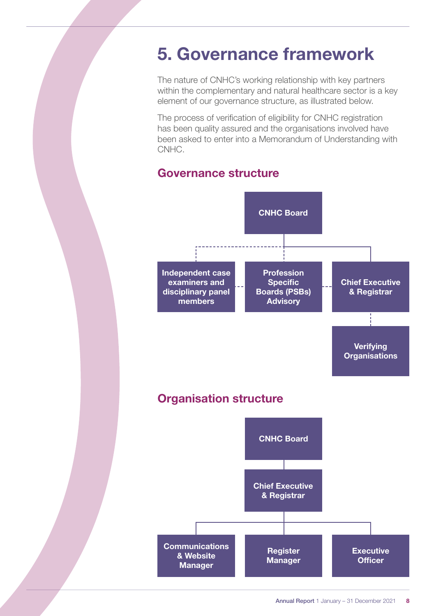# <span id="page-7-0"></span>5. Governance framework

The nature of CNHC's working relationship with key partners within the complementary and natural healthcare sector is a key element of our governance structure, as illustrated below.

The process of verification of eligibility for CNHC registration has been quality assured and the organisations involved have been asked to enter into a Memorandum of Understanding with CNHC.

## Governance structure

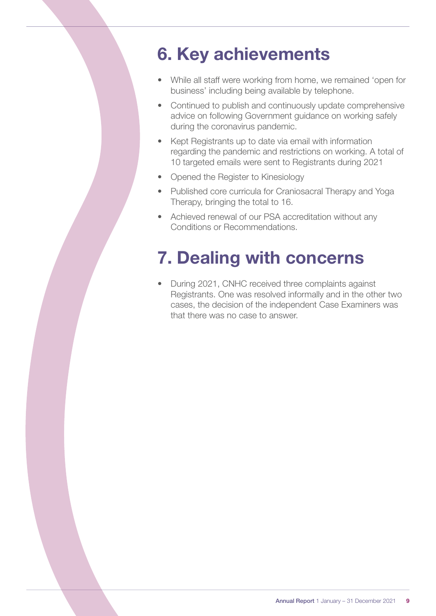# <span id="page-8-0"></span>6. Key achievements

- While all staff were working from home, we remained 'open for business' including being available by telephone.
- Continued to publish and continuously update comprehensive advice on following Government guidance on working safely during the coronavirus pandemic.
- Kept Registrants up to date via email with information regarding the pandemic and restrictions on working. A total of 10 targeted emails were sent to Registrants during 2021
- Opened the Register to Kinesiology
- Published core curricula for Craniosacral Therapy and Yoga Therapy, bringing the total to 16.
- Achieved renewal of our PSA accreditation without any Conditions or Recommendations.

# 7. Dealing with concerns

• During 2021, CNHC received three complaints against Registrants. One was resolved informally and in the other two cases, the decision of the independent Case Examiners was that there was no case to answer.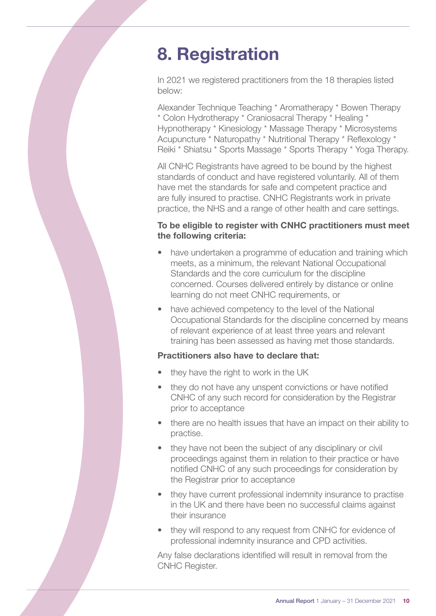# <span id="page-9-0"></span>8. Registration

In 2021 we registered practitioners from the 18 therapies listed below:

Alexander Technique Teaching \* Aromatherapy \* Bowen Therapy \* Colon Hydrotherapy \* Craniosacral Therapy \* Healing \* Hypnotherapy \* Kinesiology \* Massage Therapy \* Microsystems Acupuncture \* Naturopathy \* Nutritional Therapy \* Reflexology \* Reiki \* Shiatsu \* Sports Massage \* Sports Therapy \* Yoga Therapy.

All CNHC Registrants have agreed to be bound by the highest standards of conduct and have registered voluntarily. All of them have met the standards for safe and competent practice and are fully insured to practise. CNHC Registrants work in private practice, the NHS and a range of other health and care settings.

#### To be eligible to register with CNHC practitioners must meet the following criteria:

- have undertaken a programme of education and training which meets, as a minimum, the relevant National Occupational Standards and the core curriculum for the discipline concerned. Courses delivered entirely by distance or online learning do not meet CNHC requirements, or
- have achieved competency to the level of the National Occupational Standards for the discipline concerned by means of relevant experience of at least three years and relevant training has been assessed as having met those standards.

#### Practitioners also have to declare that:

- they have the right to work in the UK
- they do not have any unspent convictions or have notified CNHC of any such record for consideration by the Registrar prior to acceptance
- there are no health issues that have an impact on their ability to practise.
- they have not been the subject of any disciplinary or civil proceedings against them in relation to their practice or have notified CNHC of any such proceedings for consideration by the Registrar prior to acceptance
- they have current professional indemnity insurance to practise in the UK and there have been no successful claims against their insurance
- they will respond to any request from CNHC for evidence of professional indemnity insurance and CPD activities.

Any false declarations identified will result in removal from the CNHC Register.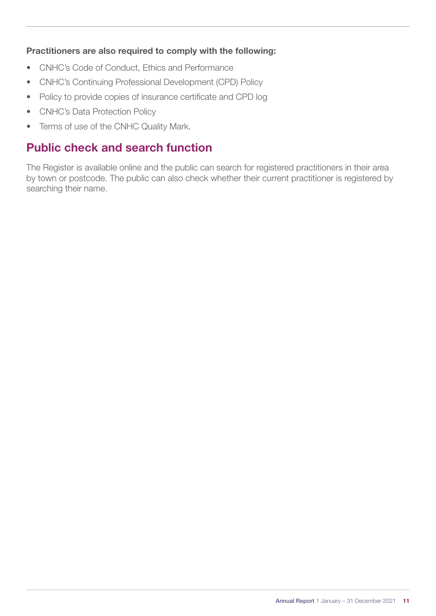#### Practitioners are also required to comply with the following:

- CNHC's Code of Conduct, Ethics and Performance
- CNHC's Continuing Professional Development (CPD) Policy
- Policy to provide copies of insurance certificate and CPD log
- CNHC's Data Protection Policy
- Terms of use of the CNHC Quality Mark.

## Public check and search function

The Register is available online and the public can search for registered practitioners in their area by town or postcode. The public can also check whether their current practitioner is registered by searching their name.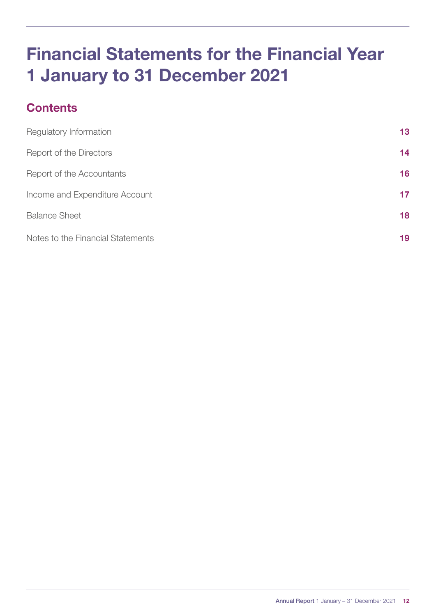# <span id="page-11-0"></span>Financial Statements for the Financial Year 1 January to 31 December 2021

# **Contents**

| Regulatory Information            | 13 |
|-----------------------------------|----|
| Report of the Directors           | 14 |
| Report of the Accountants         | 16 |
| Income and Expenditure Account    | 17 |
| <b>Balance Sheet</b>              | 18 |
| Notes to the Financial Statements | 19 |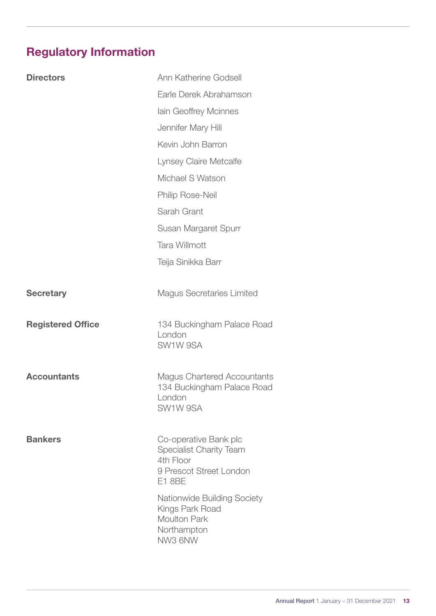# <span id="page-12-0"></span>Regulatory Information

| <b>Directors</b>         | Ann Katherine Godsell                                   |
|--------------------------|---------------------------------------------------------|
|                          | Earle Derek Abrahamson                                  |
|                          | lain Geoffrey Mcinnes                                   |
|                          | Jennifer Mary Hill                                      |
|                          | Kevin John Barron                                       |
|                          | Lynsey Claire Metcalfe                                  |
|                          | Michael S Watson                                        |
|                          | Philip Rose-Neil                                        |
|                          | Sarah Grant                                             |
|                          | Susan Margaret Spurr                                    |
|                          | <b>Tara Willmott</b>                                    |
|                          | Teija Sinikka Barr                                      |
|                          |                                                         |
| <b>Secretary</b>         | <b>Magus Secretaries Limited</b>                        |
|                          |                                                         |
| <b>Registered Office</b> | 134 Buckingham Palace Road<br>London                    |
|                          | SW1W 9SA                                                |
|                          |                                                         |
|                          |                                                         |
| <b>Accountants</b>       | <b>Magus Chartered Accountants</b>                      |
|                          | 134 Buckingham Palace Road<br>London                    |
|                          | SW1W 9SA                                                |
|                          |                                                         |
| <b>Bankers</b>           | Co-operative Bank plc<br><b>Specialist Charity Team</b> |
|                          | 4th Floor<br>9 Prescot Street London                    |
|                          | E1 8BE                                                  |
|                          | Nationwide Building Society                             |
|                          | Kings Park Road<br><b>Moulton Park</b>                  |
|                          | Northampton<br>NW3 6NW                                  |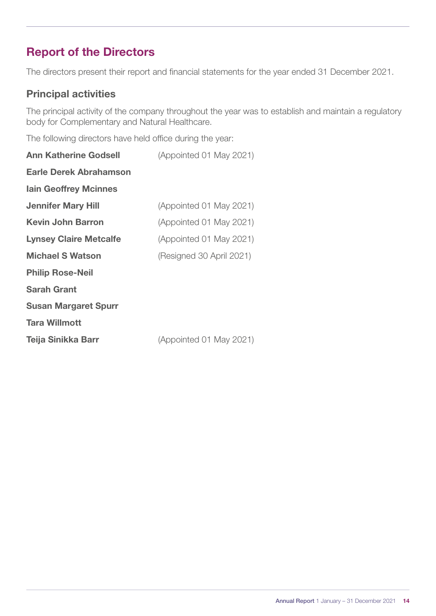# <span id="page-13-0"></span>Report of the Directors

The directors present their report and financial statements for the year ended 31 December 2021.

#### Principal activities

The principal activity of the company throughout the year was to establish and maintain a regulatory body for Complementary and Natural Healthcare.

The following directors have held office during the year:

| <b>Ann Katherine Godsell</b>  | (Appointed 01 May 2021)  |
|-------------------------------|--------------------------|
| Earle Derek Abrahamson        |                          |
| <b>Iain Geoffrey Mcinnes</b>  |                          |
| <b>Jennifer Mary Hill</b>     | (Appointed 01 May 2021)  |
| <b>Kevin John Barron</b>      | (Appointed 01 May 2021)  |
| <b>Lynsey Claire Metcalfe</b> | (Appointed 01 May 2021)  |
| <b>Michael S Watson</b>       | (Resigned 30 April 2021) |
| <b>Philip Rose-Neil</b>       |                          |
| <b>Sarah Grant</b>            |                          |
| <b>Susan Margaret Spurr</b>   |                          |
| <b>Tara Willmott</b>          |                          |
| Teija Sinikka Barr            | (Appointed 01 May 2021)  |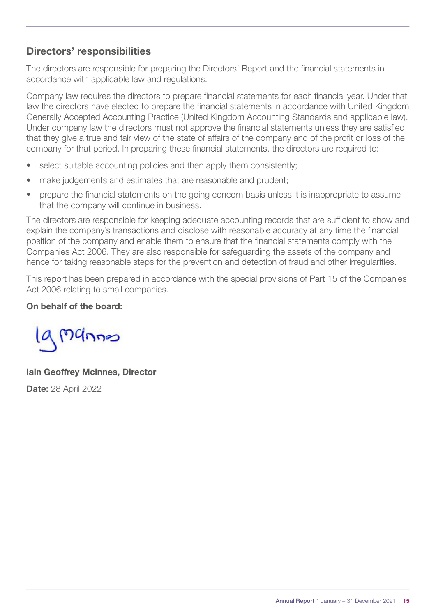#### Directors' responsibilities

The directors are responsible for preparing the Directors' Report and the financial statements in accordance with applicable law and regulations.

Company law requires the directors to prepare financial statements for each financial year. Under that law the directors have elected to prepare the financial statements in accordance with United Kingdom Generally Accepted Accounting Practice (United Kingdom Accounting Standards and applicable law). Under company law the directors must not approve the financial statements unless they are satisfied that they give a true and fair view of the state of affairs of the company and of the profit or loss of the company for that period. In preparing these financial statements, the directors are required to:

- select suitable accounting policies and then apply them consistently;
- make judgements and estimates that are reasonable and prudent;
- prepare the financial statements on the going concern basis unless it is inappropriate to assume that the company will continue in business.

The directors are responsible for keeping adequate accounting records that are sufficient to show and explain the company's transactions and disclose with reasonable accuracy at any time the financial position of the company and enable them to ensure that the financial statements comply with the Companies Act 2006. They are also responsible for safeguarding the assets of the company and hence for taking reasonable steps for the prevention and detection of fraud and other irregularities.

This report has been prepared in accordance with the special provisions of Part 15 of the Companies Act 2006 relating to small companies.

#### On behalf of the board:

la Mannes

Iain Geoffrey Mcinnes, Director **Date: 28 April 2022**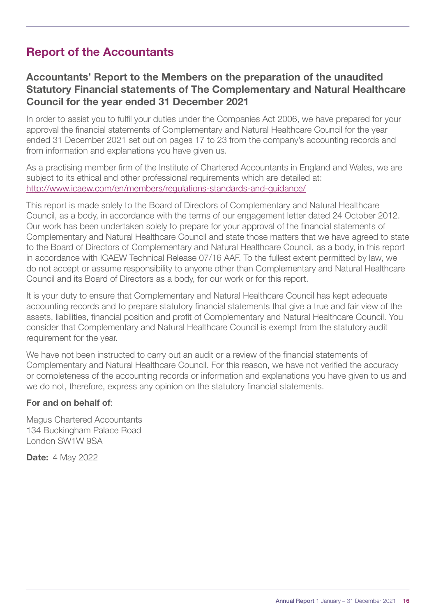# <span id="page-15-0"></span>Report of the Accountants

#### Accountants' Report to the Members on the preparation of the unaudited Statutory Financial statements of The Complementary and Natural Healthcare Council for the year ended 31 December 2021

In order to assist you to fulfil your duties under the Companies Act 2006, we have prepared for your approval the financial statements of Complementary and Natural Healthcare Council for the year ended 31 December 2021 set out on pages 17 to 23 from the company's accounting records and from information and explanations you have given us.

As a practising member firm of the Institute of Chartered Accountants in England and Wales, we are subject to its ethical and other professional requirements which are detailed at: <http://www.icaew.com/en/members/regulations-standards-and-guidance/>

This report is made solely to the Board of Directors of Complementary and Natural Healthcare Council, as a body, in accordance with the terms of our engagement letter dated 24 October 2012. Our work has been undertaken solely to prepare for your approval of the financial statements of Complementary and Natural Healthcare Council and state those matters that we have agreed to state to the Board of Directors of Complementary and Natural Healthcare Council, as a body, in this report in accordance with ICAEW Technical Release 07/16 AAF. To the fullest extent permitted by law, we do not accept or assume responsibility to anyone other than Complementary and Natural Healthcare Council and its Board of Directors as a body, for our work or for this report.

It is your duty to ensure that Complementary and Natural Healthcare Council has kept adequate accounting records and to prepare statutory financial statements that give a true and fair view of the assets, liabilities, financial position and profit of Complementary and Natural Healthcare Council. You consider that Complementary and Natural Healthcare Council is exempt from the statutory audit requirement for the year.

We have not been instructed to carry out an audit or a review of the financial statements of Complementary and Natural Healthcare Council. For this reason, we have not verified the accuracy or completeness of the accounting records or information and explanations you have given to us and we do not, therefore, express any opinion on the statutory financial statements.

#### For and on behalf of:

Magus Chartered Accountants 134 Buckingham Palace Road London SW1W 9SA

**Date: 4 May 2022**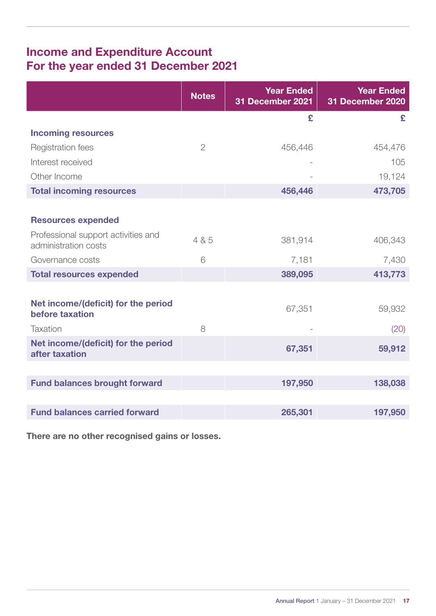# <span id="page-16-0"></span>Income and Expenditure Account For the year ended 31 December 2021

|                                                             | <b>Notes</b>   | <b>Year Ended</b><br>31 December 2021 | <b>Year Ended</b><br>31 December 2020 |
|-------------------------------------------------------------|----------------|---------------------------------------|---------------------------------------|
|                                                             |                | £                                     | £                                     |
| <b>Incoming resources</b>                                   |                |                                       |                                       |
| Registration fees                                           | $\overline{2}$ | 456,446                               | 454,476                               |
| Interest received                                           |                |                                       | 105                                   |
| Other Income                                                |                |                                       | 19,124                                |
| <b>Total incoming resources</b>                             |                | 456,446                               | 473,705                               |
|                                                             |                |                                       |                                       |
| <b>Resources expended</b>                                   |                |                                       |                                       |
| Professional support activities and<br>administration costs | 4 & 5          | 381,914                               | 406,343                               |
| Governance costs                                            | 6              | 7,181                                 | 7,430                                 |
| <b>Total resources expended</b>                             |                | 389,095                               | 413,773                               |
|                                                             |                |                                       |                                       |
| Net income/(deficit) for the period<br>before taxation      |                | 67,351                                | 59,932                                |
| <b>Taxation</b>                                             | 8              |                                       | (20)                                  |
| Net income/(deficit) for the period<br>after taxation       |                | 67,351                                | 59,912                                |
|                                                             |                |                                       |                                       |
| <b>Fund balances brought forward</b>                        |                | 197,950                               | 138,038                               |
|                                                             |                |                                       |                                       |
| <b>Fund balances carried forward</b>                        |                | 265,301                               | 197,950                               |

There are no other recognised gains or losses.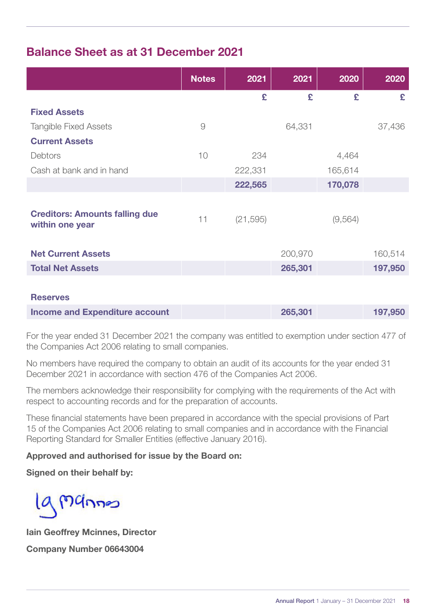## <span id="page-17-0"></span>Balance Sheet as at 31 December 2021

|                                                          | <b>Notes</b> | 2021      | 2021    | 2020    | 2020    |
|----------------------------------------------------------|--------------|-----------|---------|---------|---------|
|                                                          |              | £         | £       | £       | £       |
| <b>Fixed Assets</b>                                      |              |           |         |         |         |
| <b>Tangible Fixed Assets</b>                             | $\Theta$     |           | 64,331  |         | 37,436  |
| <b>Current Assets</b>                                    |              |           |         |         |         |
| Debtors                                                  | 10           | 234       |         | 4,464   |         |
| Cash at bank and in hand                                 |              | 222,331   |         | 165,614 |         |
|                                                          |              | 222,565   |         | 170,078 |         |
|                                                          |              |           |         |         |         |
| <b>Creditors: Amounts falling due</b><br>within one year | 11           | (21, 595) |         | (9,564) |         |
| <b>Net Current Assets</b>                                |              |           | 200,970 |         | 160,514 |
| <b>Total Net Assets</b>                                  |              |           | 265,301 |         | 197,950 |
|                                                          |              |           |         |         |         |
| <b>Reserves</b>                                          |              |           |         |         |         |
| <b>Income and Expenditure account</b>                    |              |           | 265,301 |         | 197,950 |

For the year ended 31 December 2021 the company was entitled to exemption under section 477 of the Companies Act 2006 relating to small companies.

No members have required the company to obtain an audit of its accounts for the year ended 31 December 2021 in accordance with section 476 of the Companies Act 2006.

The members acknowledge their responsibility for complying with the requirements of the Act with respect to accounting records and for the preparation of accounts.

These financial statements have been prepared in accordance with the special provisions of Part 15 of the Companies Act 2006 relating to small companies and in accordance with the Financial Reporting Standard for Smaller Entities (effective January 2016).

#### Approved and authorised for issue by the Board on:

Signed on their behalf by:

19 Mannes

Iain Geoffrey Mcinnes, Director Company Number 06643004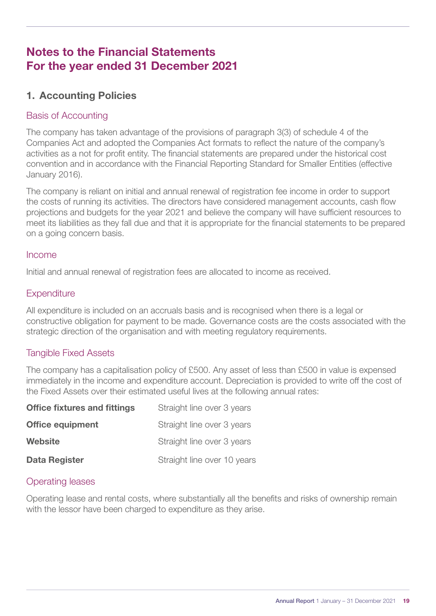## <span id="page-18-0"></span>Notes to the Financial Statements For the year ended 31 December 2021

#### 1. Accounting Policies

#### Basis of Accounting

The company has taken advantage of the provisions of paragraph 3(3) of schedule 4 of the Companies Act and adopted the Companies Act formats to reflect the nature of the company's activities as a not for profit entity. The financial statements are prepared under the historical cost convention and in accordance with the Financial Reporting Standard for Smaller Entities (effective January 2016).

The company is reliant on initial and annual renewal of registration fee income in order to support the costs of running its activities. The directors have considered management accounts, cash flow projections and budgets for the year 2021 and believe the company will have sufficient resources to meet its liabilities as they fall due and that it is appropriate for the financial statements to be prepared on a going concern basis.

#### Income

Initial and annual renewal of registration fees are allocated to income as received.

#### **Expenditure**

All expenditure is included on an accruals basis and is recognised when there is a legal or constructive obligation for payment to be made. Governance costs are the costs associated with the strategic direction of the organisation and with meeting regulatory requirements.

#### Tangible Fixed Assets

The company has a capitalisation policy of £500. Any asset of less than £500 in value is expensed immediately in the income and expenditure account. Depreciation is provided to write off the cost of the Fixed Assets over their estimated useful lives at the following annual rates:

| <b>Office fixtures and fittings</b> | Straight line over 3 years  |
|-------------------------------------|-----------------------------|
| <b>Office equipment</b>             | Straight line over 3 years  |
| <b>Website</b>                      | Straight line over 3 years  |
| <b>Data Register</b>                | Straight line over 10 years |

#### Operating leases

Operating lease and rental costs, where substantially all the benefits and risks of ownership remain with the lessor have been charged to expenditure as they arise.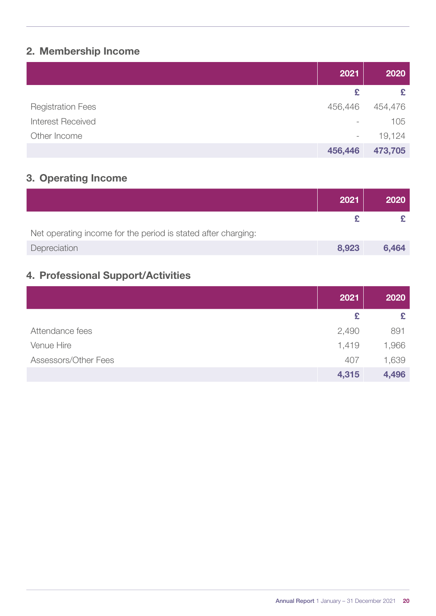## 2. Membership Income

|                          | 2021                     | 2020    |
|--------------------------|--------------------------|---------|
|                          | £                        | £       |
| <b>Registration Fees</b> | 456,446                  | 454,476 |
| <b>Interest Received</b> | $\overline{\phantom{a}}$ | 105     |
| Other Income             | $\overline{\phantom{a}}$ | 19,124  |
|                          | 456,446                  | 473,705 |

## 3. Operating Income

|                                                               | 2021  | 2020  |
|---------------------------------------------------------------|-------|-------|
|                                                               |       |       |
| Net operating income for the period is stated after charging: |       |       |
| Depreciation                                                  | 8,923 | 6,464 |

## 4. Professional Support/Activities

|                      | 2021  | 2020  |
|----------------------|-------|-------|
|                      | £     | £     |
| Attendance fees      | 2,490 | 891   |
| Venue Hire           | 1,419 | 1,966 |
| Assessors/Other Fees | 407   | 1,639 |
|                      | 4,315 | 4,496 |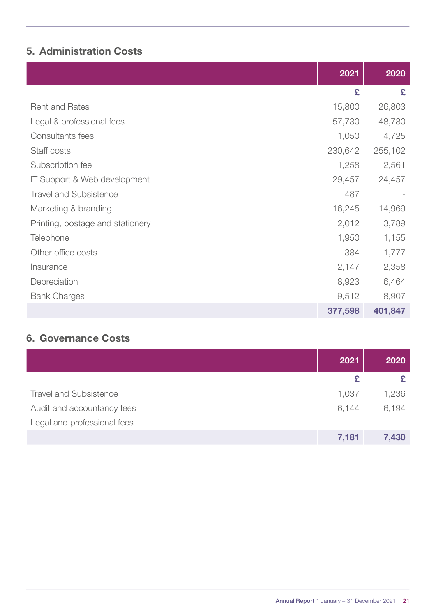## 5. Administration Costs

|                                  | 2021    | 2020    |
|----------------------------------|---------|---------|
|                                  | £       | £       |
| <b>Rent and Rates</b>            | 15,800  | 26,803  |
| Legal & professional fees        | 57,730  | 48,780  |
| Consultants fees                 | 1,050   | 4,725   |
| Staff costs                      | 230,642 | 255,102 |
| Subscription fee                 | 1,258   | 2,561   |
| IT Support & Web development     | 29,457  | 24,457  |
| <b>Travel and Subsistence</b>    | 487     |         |
| Marketing & branding             | 16,245  | 14,969  |
| Printing, postage and stationery | 2,012   | 3,789   |
| Telephone                        | 1,950   | 1,155   |
| Other office costs               | 384     | 1,777   |
| Insurance                        | 2,147   | 2,358   |
| Depreciation                     | 8,923   | 6,464   |
| <b>Bank Charges</b>              | 9,512   | 8,907   |
|                                  | 377,598 | 401,847 |

### 6. Governance Costs

|                               | 2021  | 2020  |
|-------------------------------|-------|-------|
|                               | £     |       |
| <b>Travel and Subsistence</b> | 1,037 | 1,236 |
| Audit and accountancy fees    | 6,144 | 6,194 |
| Legal and professional fees   |       |       |
|                               | 7,181 | 7,430 |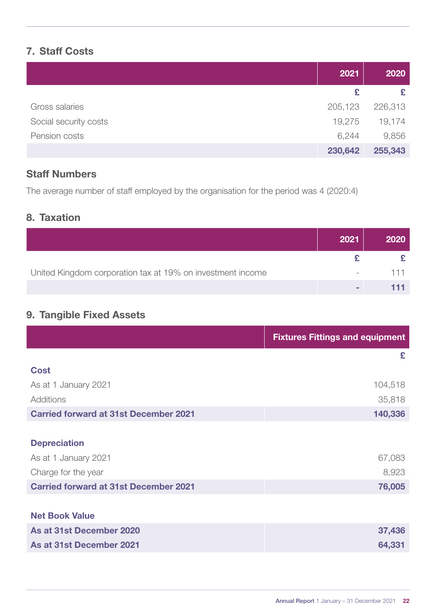#### 7. Staff Costs

|                       | 2021    | 2020    |
|-----------------------|---------|---------|
|                       | £       |         |
| Gross salaries        | 205,123 | 226,313 |
| Social security costs | 19,275  | 19,174  |
| Pension costs         | 6,244   | 9,856   |
|                       | 230,642 | 255,343 |

#### Staff Numbers

The average number of staff employed by the organisation for the period was 4 (2020:4)

#### 8. Taxation

|                                                            | 2021                     | 2020 |
|------------------------------------------------------------|--------------------------|------|
|                                                            |                          |      |
| United Kingdom corporation tax at 19% on investment income | $\overline{\phantom{a}}$ |      |
|                                                            |                          |      |

### 9. Tangible Fixed Assets

|                                              | <b>Fixtures Fittings and equipment</b> |
|----------------------------------------------|----------------------------------------|
|                                              | £                                      |
| <b>Cost</b>                                  |                                        |
| As at 1 January 2021                         | 104,518                                |
| Additions                                    | 35,818                                 |
| <b>Carried forward at 31st December 2021</b> | 140,336                                |
|                                              |                                        |
| <b>Depreciation</b>                          |                                        |
| As at 1 January 2021                         | 67,083                                 |
| Charge for the year                          | 8,923                                  |
| <b>Carried forward at 31st December 2021</b> | 76,005                                 |
|                                              |                                        |
| <b>Net Book Value</b>                        |                                        |
| As at 31st December 2020                     | 37,436                                 |
| As at 31st December 2021                     | 64,331                                 |
|                                              |                                        |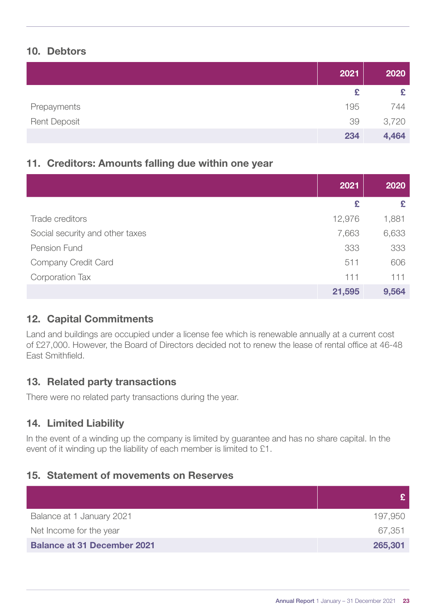#### 10. Debtors

|                     | 2021 | 2020  |
|---------------------|------|-------|
|                     | £    | £     |
| Prepayments         | 195  | 744   |
| <b>Rent Deposit</b> | 39   | 3,720 |
|                     | 234  | 4,464 |

#### 11. Creditors: Amounts falling due within one year

|                                 | 2021   | 2020  |
|---------------------------------|--------|-------|
|                                 | £      | £     |
| Trade creditors                 | 12,976 | 1,881 |
| Social security and other taxes | 7,663  | 6,633 |
| Pension Fund                    | 333    | 333   |
| Company Credit Card             | 511    | 606   |
| Corporation Tax                 | 111    | 111   |
|                                 | 21,595 | 9,564 |

#### 12. Capital Commitments

Land and buildings are occupied under a license fee which is renewable annually at a current cost of £27,000. However, the Board of Directors decided not to renew the lease of rental office at 46-48 East Smithfield.

#### 13. Related party transactions

There were no related party transactions during the year.

#### 14. Limited Liability

In the event of a winding up the company is limited by guarantee and has no share capital. In the event of it winding up the liability of each member is limited to £1.

#### 15. Statement of movements on Reserves

|                                    | £.      |
|------------------------------------|---------|
| Balance at 1 January 2021          | 197,950 |
| Net Income for the year            | 67,351  |
| <b>Balance at 31 December 2021</b> | 265,301 |